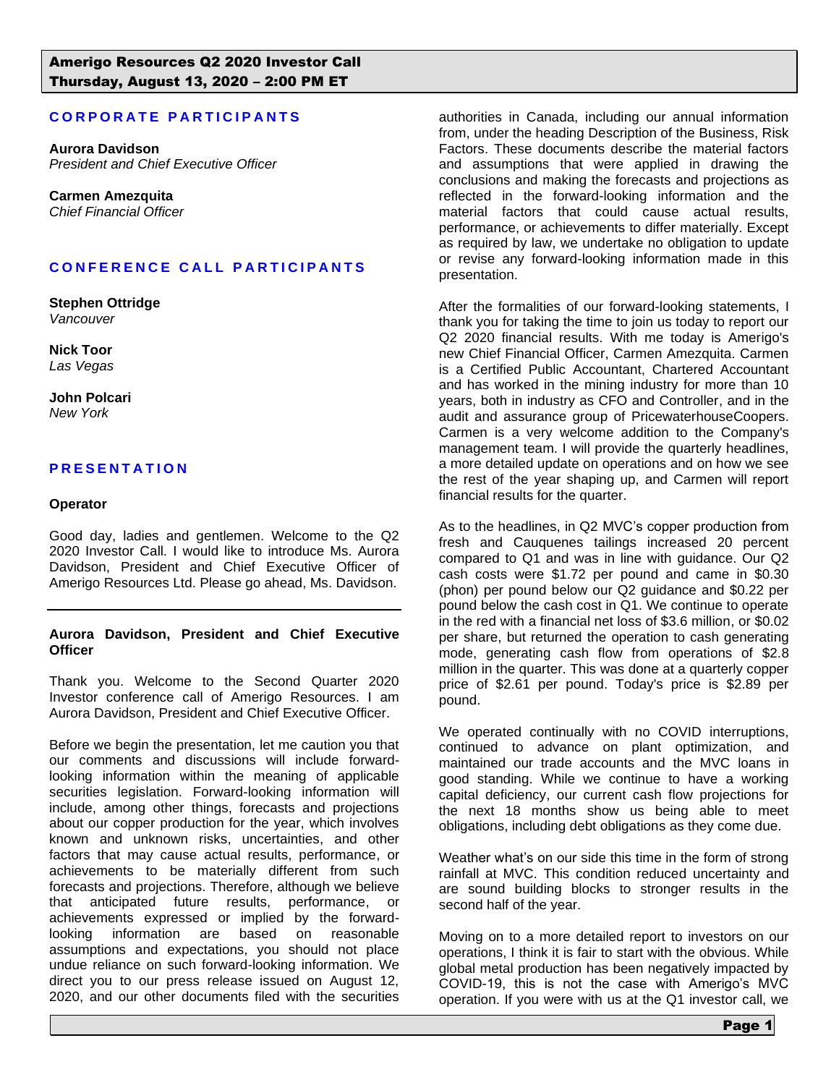# **CORPORATE PARTICIPANTS**

**Aurora Davidson** *President and Chief Executive Officer*

**Carmen Amezquita** *Chief Financial Officer*

# **CONFERENCE CALL PARTICIPANTS**

**Stephen Ottridge** *Vancouver*

**Nick Toor** *Las Vegas*

**John Polcari** *New York*

# **P R E S E N T A T I O N**

#### **Operator**

Good day, ladies and gentlemen. Welcome to the Q2 2020 Investor Call. I would like to introduce Ms. Aurora Davidson, President and Chief Executive Officer of Amerigo Resources Ltd. Please go ahead, Ms. Davidson.

#### **Aurora Davidson, President and Chief Executive Officer**

Thank you. Welcome to the Second Quarter 2020 Investor conference call of Amerigo Resources. I am Aurora Davidson, President and Chief Executive Officer.

Before we begin the presentation, let me caution you that our comments and discussions will include forwardlooking information within the meaning of applicable securities legislation. Forward-looking information will include, among other things, forecasts and projections about our copper production for the year, which involves known and unknown risks, uncertainties, and other factors that may cause actual results, performance, or achievements to be materially different from such forecasts and projections. Therefore, although we believe that anticipated future results, performance, or achievements expressed or implied by the forwardlooking information are based on reasonable assumptions and expectations, you should not place undue reliance on such forward-looking information. We direct you to our press release issued on August 12, 2020, and our other documents filed with the securities

authorities in Canada, including our annual information from, under the heading Description of the Business, Risk Factors. These documents describe the material factors and assumptions that were applied in drawing the conclusions and making the forecasts and projections as reflected in the forward-looking information and the material factors that could cause actual results, performance, or achievements to differ materially. Except as required by law, we undertake no obligation to update or revise any forward-looking information made in this presentation.

After the formalities of our forward-looking statements, I thank you for taking the time to join us today to report our Q2 2020 financial results. With me today is Amerigo's new Chief Financial Officer, Carmen Amezquita. Carmen is a Certified Public Accountant, Chartered Accountant and has worked in the mining industry for more than 10 years, both in industry as CFO and Controller, and in the audit and assurance group of PricewaterhouseCoopers. Carmen is a very welcome addition to the Company's management team. I will provide the quarterly headlines, a more detailed update on operations and on how we see the rest of the year shaping up, and Carmen will report financial results for the quarter.

As to the headlines, in Q2 MVC's copper production from fresh and Cauquenes tailings increased 20 percent compared to Q1 and was in line with guidance. Our Q2 cash costs were \$1.72 per pound and came in \$0.30 (phon) per pound below our Q2 guidance and \$0.22 per pound below the cash cost in Q1. We continue to operate in the red with a financial net loss of \$3.6 million, or \$0.02 per share, but returned the operation to cash generating mode, generating cash flow from operations of \$2.8 million in the quarter. This was done at a quarterly copper price of \$2.61 per pound. Today's price is \$2.89 per pound.

We operated continually with no COVID interruptions, continued to advance on plant optimization, and maintained our trade accounts and the MVC loans in good standing. While we continue to have a working capital deficiency, our current cash flow projections for the next 18 months show us being able to meet obligations, including debt obligations as they come due.

Weather what's on our side this time in the form of strong rainfall at MVC. This condition reduced uncertainty and are sound building blocks to stronger results in the second half of the year.

Moving on to a more detailed report to investors on our operations, I think it is fair to start with the obvious. While global metal production has been negatively impacted by COVID-19, this is not the case with Amerigo's MVC operation. If you were with us at the Q1 investor call, we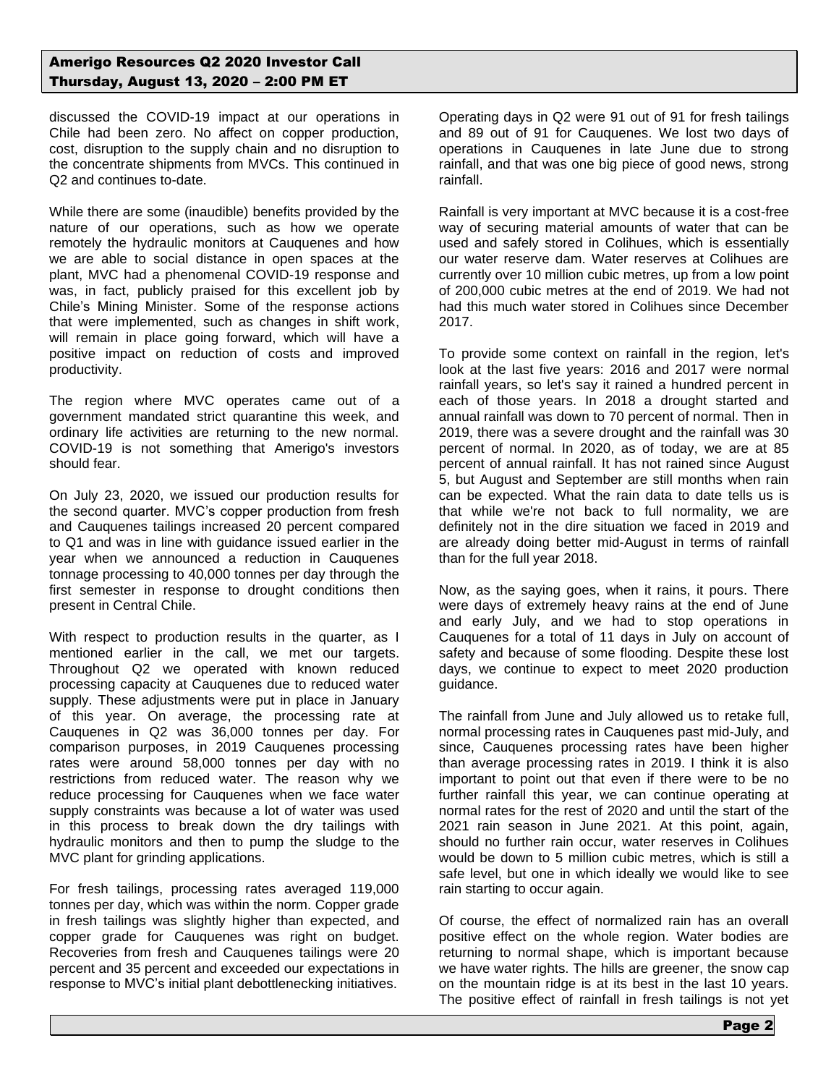discussed the COVID-19 impact at our operations in Chile had been zero. No affect on copper production, cost, disruption to the supply chain and no disruption to the concentrate shipments from MVCs. This continued in Q2 and continues to-date.

While there are some (inaudible) benefits provided by the nature of our operations, such as how we operate remotely the hydraulic monitors at Cauquenes and how we are able to social distance in open spaces at the plant, MVC had a phenomenal COVID-19 response and was, in fact, publicly praised for this excellent job by Chile's Mining Minister. Some of the response actions that were implemented, such as changes in shift work, will remain in place going forward, which will have a positive impact on reduction of costs and improved productivity.

The region where MVC operates came out of a government mandated strict quarantine this week, and ordinary life activities are returning to the new normal. COVID-19 is not something that Amerigo's investors should fear.

On July 23, 2020, we issued our production results for the second quarter. MVC's copper production from fresh and Cauquenes tailings increased 20 percent compared to Q1 and was in line with guidance issued earlier in the year when we announced a reduction in Cauquenes tonnage processing to 40,000 tonnes per day through the first semester in response to drought conditions then present in Central Chile.

With respect to production results in the quarter, as I mentioned earlier in the call, we met our targets. Throughout Q2 we operated with known reduced processing capacity at Cauquenes due to reduced water supply. These adjustments were put in place in January of this year. On average, the processing rate at Cauquenes in Q2 was 36,000 tonnes per day. For comparison purposes, in 2019 Cauquenes processing rates were around 58,000 tonnes per day with no restrictions from reduced water. The reason why we reduce processing for Cauquenes when we face water supply constraints was because a lot of water was used in this process to break down the dry tailings with hydraulic monitors and then to pump the sludge to the MVC plant for grinding applications.

For fresh tailings, processing rates averaged 119,000 tonnes per day, which was within the norm. Copper grade in fresh tailings was slightly higher than expected, and copper grade for Cauquenes was right on budget. Recoveries from fresh and Cauquenes tailings were 20 percent and 35 percent and exceeded our expectations in response to MVC's initial plant debottlenecking initiatives.

Operating days in Q2 were 91 out of 91 for fresh tailings and 89 out of 91 for Cauquenes. We lost two days of operations in Cauquenes in late June due to strong rainfall, and that was one big piece of good news, strong rainfall.

Rainfall is very important at MVC because it is a cost-free way of securing material amounts of water that can be used and safely stored in Colihues, which is essentially our water reserve dam. Water reserves at Colihues are currently over 10 million cubic metres, up from a low point of 200,000 cubic metres at the end of 2019. We had not had this much water stored in Colihues since December 2017.

To provide some context on rainfall in the region, let's look at the last five years: 2016 and 2017 were normal rainfall years, so let's say it rained a hundred percent in each of those years. In 2018 a drought started and annual rainfall was down to 70 percent of normal. Then in 2019, there was a severe drought and the rainfall was 30 percent of normal. In 2020, as of today, we are at 85 percent of annual rainfall. It has not rained since August 5, but August and September are still months when rain can be expected. What the rain data to date tells us is that while we're not back to full normality, we are definitely not in the dire situation we faced in 2019 and are already doing better mid-August in terms of rainfall than for the full year 2018.

Now, as the saying goes, when it rains, it pours. There were days of extremely heavy rains at the end of June and early July, and we had to stop operations in Cauquenes for a total of 11 days in July on account of safety and because of some flooding. Despite these lost days, we continue to expect to meet 2020 production guidance.

The rainfall from June and July allowed us to retake full, normal processing rates in Cauquenes past mid-July, and since, Cauquenes processing rates have been higher than average processing rates in 2019. I think it is also important to point out that even if there were to be no further rainfall this year, we can continue operating at normal rates for the rest of 2020 and until the start of the 2021 rain season in June 2021. At this point, again, should no further rain occur, water reserves in Colihues would be down to 5 million cubic metres, which is still a safe level, but one in which ideally we would like to see rain starting to occur again.

Of course, the effect of normalized rain has an overall positive effect on the whole region. Water bodies are returning to normal shape, which is important because we have water rights. The hills are greener, the snow cap on the mountain ridge is at its best in the last 10 years. The positive effect of rainfall in fresh tailings is not yet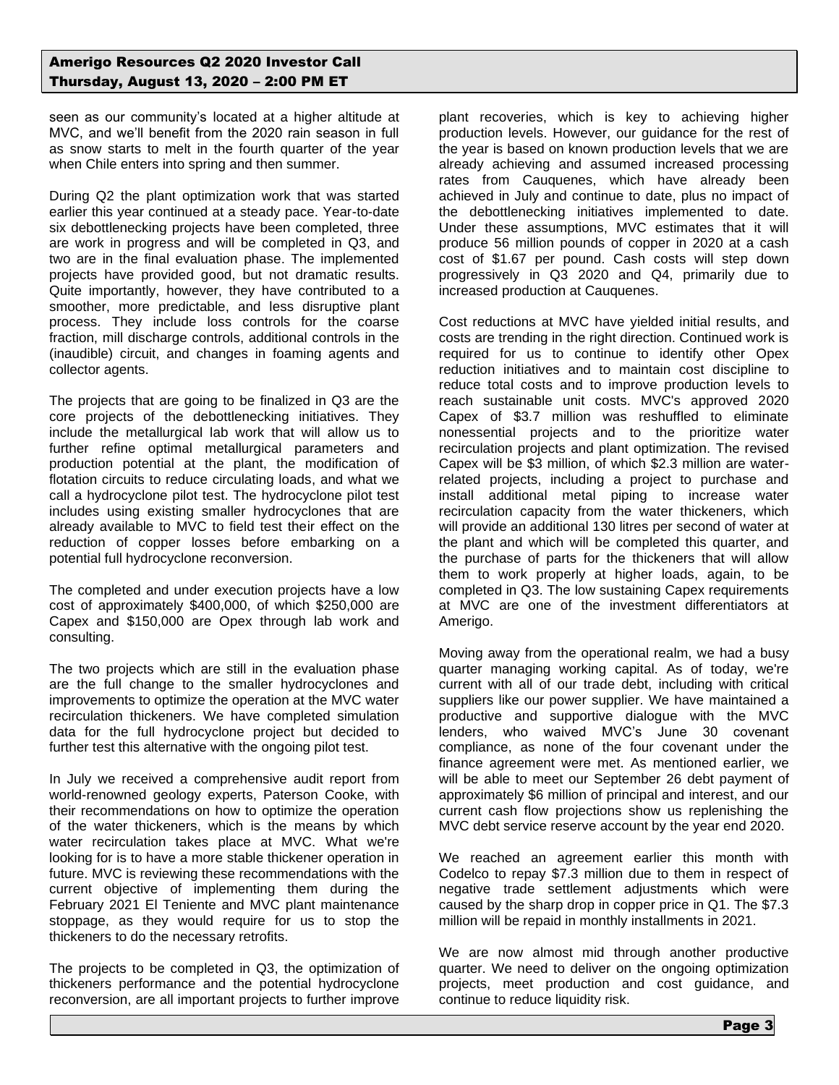seen as our community's located at a higher altitude at MVC, and we'll benefit from the 2020 rain season in full as snow starts to melt in the fourth quarter of the year when Chile enters into spring and then summer.

During Q2 the plant optimization work that was started earlier this year continued at a steady pace. Year-to-date six debottlenecking projects have been completed, three are work in progress and will be completed in Q3, and two are in the final evaluation phase. The implemented projects have provided good, but not dramatic results. Quite importantly, however, they have contributed to a smoother, more predictable, and less disruptive plant process. They include loss controls for the coarse fraction, mill discharge controls, additional controls in the (inaudible) circuit, and changes in foaming agents and collector agents.

The projects that are going to be finalized in Q3 are the core projects of the debottlenecking initiatives. They include the metallurgical lab work that will allow us to further refine optimal metallurgical parameters and production potential at the plant, the modification of flotation circuits to reduce circulating loads, and what we call a hydrocyclone pilot test. The hydrocyclone pilot test includes using existing smaller hydrocyclones that are already available to MVC to field test their effect on the reduction of copper losses before embarking on a potential full hydrocyclone reconversion.

The completed and under execution projects have a low cost of approximately \$400,000, of which \$250,000 are Capex and \$150,000 are Opex through lab work and consulting.

The two projects which are still in the evaluation phase are the full change to the smaller hydrocyclones and improvements to optimize the operation at the MVC water recirculation thickeners. We have completed simulation data for the full hydrocyclone project but decided to further test this alternative with the ongoing pilot test.

In July we received a comprehensive audit report from world-renowned geology experts, Paterson Cooke, with their recommendations on how to optimize the operation of the water thickeners, which is the means by which water recirculation takes place at MVC. What we're looking for is to have a more stable thickener operation in future. MVC is reviewing these recommendations with the current objective of implementing them during the February 2021 El Teniente and MVC plant maintenance stoppage, as they would require for us to stop the thickeners to do the necessary retrofits.

The projects to be completed in Q3, the optimization of thickeners performance and the potential hydrocyclone reconversion, are all important projects to further improve

plant recoveries, which is key to achieving higher production levels. However, our guidance for the rest of the year is based on known production levels that we are already achieving and assumed increased processing rates from Cauquenes, which have already been achieved in July and continue to date, plus no impact of the debottlenecking initiatives implemented to date. Under these assumptions, MVC estimates that it will produce 56 million pounds of copper in 2020 at a cash cost of \$1.67 per pound. Cash costs will step down progressively in Q3 2020 and Q4, primarily due to increased production at Cauquenes.

Cost reductions at MVC have yielded initial results, and costs are trending in the right direction. Continued work is required for us to continue to identify other Opex reduction initiatives and to maintain cost discipline to reduce total costs and to improve production levels to reach sustainable unit costs. MVC's approved 2020 Capex of \$3.7 million was reshuffled to eliminate nonessential projects and to the prioritize water recirculation projects and plant optimization. The revised Capex will be \$3 million, of which \$2.3 million are waterrelated projects, including a project to purchase and install additional metal piping to increase water recirculation capacity from the water thickeners, which will provide an additional 130 litres per second of water at the plant and which will be completed this quarter, and the purchase of parts for the thickeners that will allow them to work properly at higher loads, again, to be completed in Q3. The low sustaining Capex requirements at MVC are one of the investment differentiators at Amerigo.

Moving away from the operational realm, we had a busy quarter managing working capital. As of today, we're current with all of our trade debt, including with critical suppliers like our power supplier. We have maintained a productive and supportive dialogue with the MVC lenders, who waived MVC's June 30 covenant compliance, as none of the four covenant under the finance agreement were met. As mentioned earlier, we will be able to meet our September 26 debt payment of approximately \$6 million of principal and interest, and our current cash flow projections show us replenishing the MVC debt service reserve account by the year end 2020.

We reached an agreement earlier this month with Codelco to repay \$7.3 million due to them in respect of negative trade settlement adjustments which were caused by the sharp drop in copper price in Q1. The \$7.3 million will be repaid in monthly installments in 2021.

We are now almost mid through another productive quarter. We need to deliver on the ongoing optimization projects, meet production and cost guidance, and continue to reduce liquidity risk.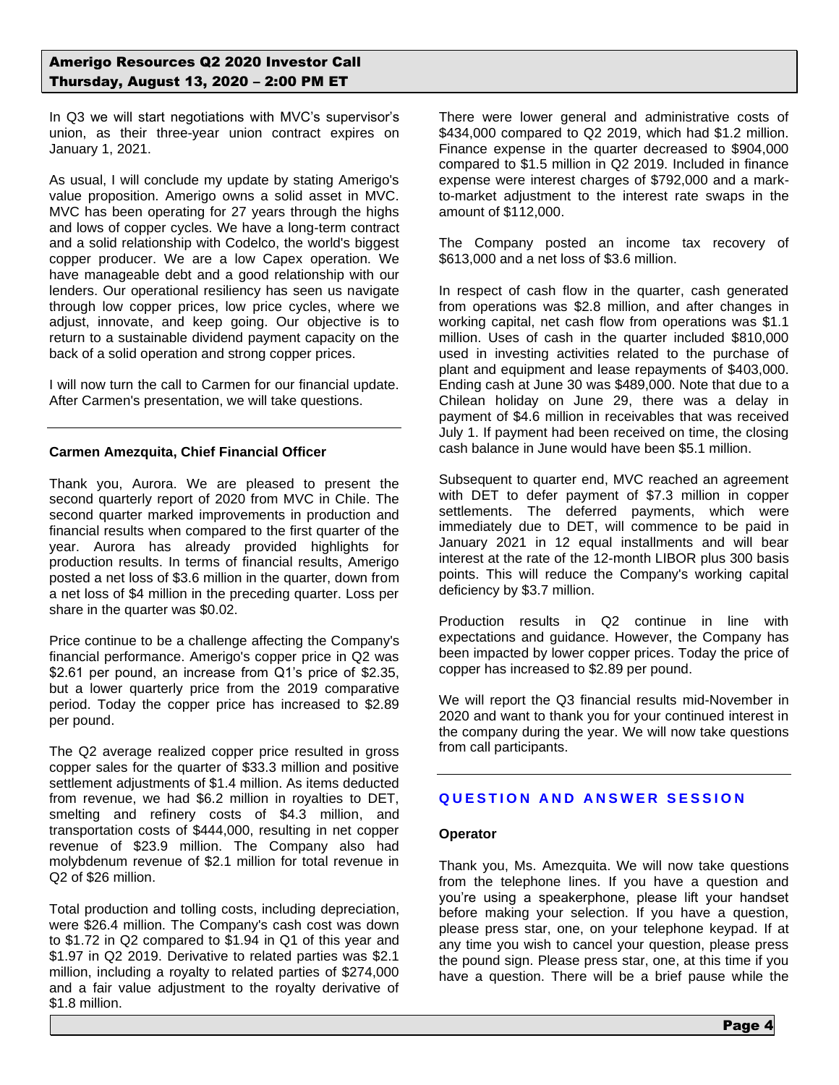In Q3 we will start negotiations with MVC's supervisor's union, as their three-year union contract expires on January 1, 2021.

As usual, I will conclude my update by stating Amerigo's value proposition. Amerigo owns a solid asset in MVC. MVC has been operating for 27 years through the highs and lows of copper cycles. We have a long-term contract and a solid relationship with Codelco, the world's biggest copper producer. We are a low Capex operation. We have manageable debt and a good relationship with our lenders. Our operational resiliency has seen us navigate through low copper prices, low price cycles, where we adjust, innovate, and keep going. Our objective is to return to a sustainable dividend payment capacity on the back of a solid operation and strong copper prices.

I will now turn the call to Carmen for our financial update. After Carmen's presentation, we will take questions.

## **Carmen Amezquita, Chief Financial Officer**

Thank you, Aurora. We are pleased to present the second quarterly report of 2020 from MVC in Chile. The second quarter marked improvements in production and financial results when compared to the first quarter of the year. Aurora has already provided highlights for production results. In terms of financial results, Amerigo posted a net loss of \$3.6 million in the quarter, down from a net loss of \$4 million in the preceding quarter. Loss per share in the quarter was \$0.02.

Price continue to be a challenge affecting the Company's financial performance. Amerigo's copper price in Q2 was \$2.61 per pound, an increase from Q1's price of \$2.35, but a lower quarterly price from the 2019 comparative period. Today the copper price has increased to \$2.89 per pound.

The Q2 average realized copper price resulted in gross copper sales for the quarter of \$33.3 million and positive settlement adjustments of \$1.4 million. As items deducted from revenue, we had \$6.2 million in royalties to DET, smelting and refinery costs of \$4.3 million, and transportation costs of \$444,000, resulting in net copper revenue of \$23.9 million. The Company also had molybdenum revenue of \$2.1 million for total revenue in Q2 of \$26 million.

Total production and tolling costs, including depreciation, were \$26.4 million. The Company's cash cost was down to \$1.72 in Q2 compared to \$1.94 in Q1 of this year and \$1.97 in Q2 2019. Derivative to related parties was \$2.1 million, including a royalty to related parties of \$274,000 and a fair value adjustment to the royalty derivative of \$1.8 million.

There were lower general and administrative costs of \$434,000 compared to Q2 2019, which had \$1.2 million. Finance expense in the quarter decreased to \$904,000 compared to \$1.5 million in Q2 2019. Included in finance expense were interest charges of \$792,000 and a markto-market adjustment to the interest rate swaps in the amount of \$112,000.

The Company posted an income tax recovery of \$613,000 and a net loss of \$3.6 million.

In respect of cash flow in the quarter, cash generated from operations was \$2.8 million, and after changes in working capital, net cash flow from operations was \$1.1 million. Uses of cash in the quarter included \$810,000 used in investing activities related to the purchase of plant and equipment and lease repayments of \$403,000. Ending cash at June 30 was \$489,000. Note that due to a Chilean holiday on June 29, there was a delay in payment of \$4.6 million in receivables that was received July 1. If payment had been received on time, the closing cash balance in June would have been \$5.1 million.

Subsequent to quarter end, MVC reached an agreement with DET to defer payment of \$7.3 million in copper settlements. The deferred payments, which were immediately due to DET, will commence to be paid in January 2021 in 12 equal installments and will bear interest at the rate of the 12-month LIBOR plus 300 basis points. This will reduce the Company's working capital deficiency by \$3.7 million.

Production results in Q2 continue in line with expectations and guidance. However, the Company has been impacted by lower copper prices. Today the price of copper has increased to \$2.89 per pound.

We will report the Q3 financial results mid-November in 2020 and want to thank you for your continued interest in the company during the year. We will now take questions from call participants.

# **QUESTION AND ANSWER SESSION**

### **Operator**

Thank you, Ms. Amezquita. We will now take questions from the telephone lines. If you have a question and you're using a speakerphone, please lift your handset before making your selection. If you have a question, please press star, one, on your telephone keypad. If at any time you wish to cancel your question, please press the pound sign. Please press star, one, at this time if you have a question. There will be a brief pause while the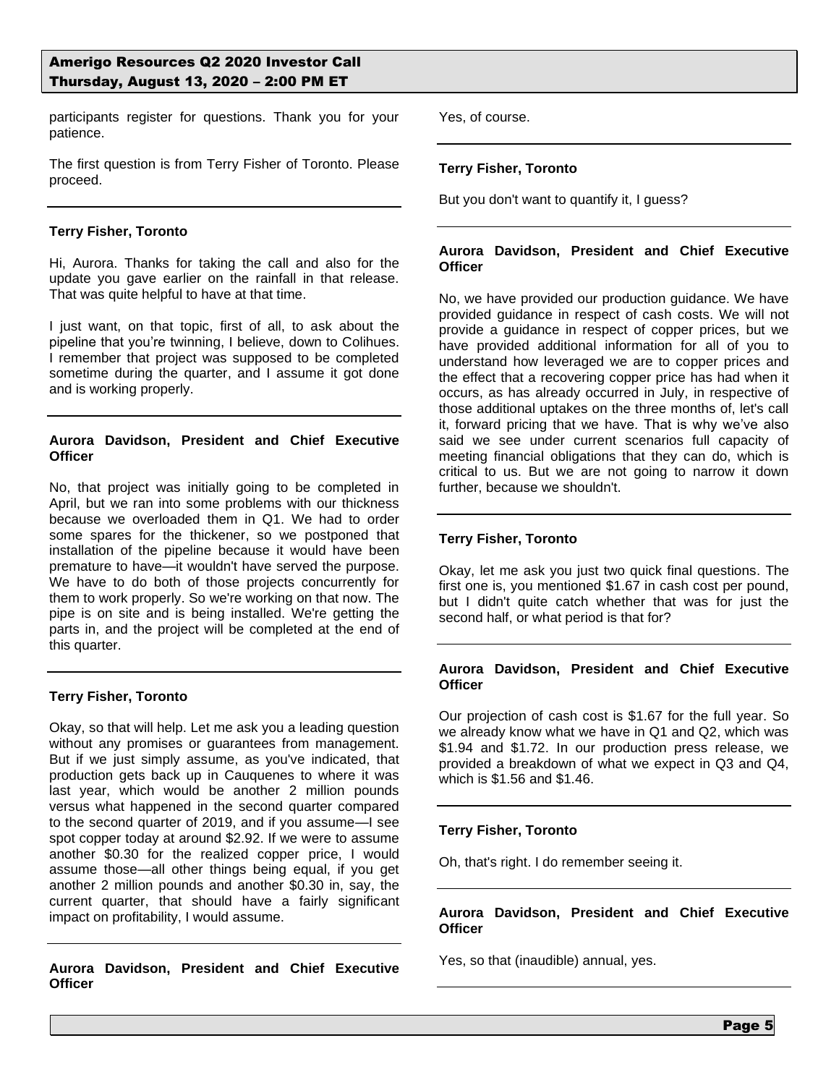participants register for questions. Thank you for your patience.

The first question is from Terry Fisher of Toronto. Please proceed.

## **Terry Fisher, Toronto**

Hi, Aurora. Thanks for taking the call and also for the update you gave earlier on the rainfall in that release. That was quite helpful to have at that time.

I just want, on that topic, first of all, to ask about the pipeline that you're twinning, I believe, down to Colihues. I remember that project was supposed to be completed sometime during the quarter, and I assume it got done and is working properly.

# **Aurora Davidson, President and Chief Executive Officer**

No, that project was initially going to be completed in April, but we ran into some problems with our thickness because we overloaded them in Q1. We had to order some spares for the thickener, so we postponed that installation of the pipeline because it would have been premature to have—it wouldn't have served the purpose. We have to do both of those projects concurrently for them to work properly. So we're working on that now. The pipe is on site and is being installed. We're getting the parts in, and the project will be completed at the end of this quarter.

# **Terry Fisher, Toronto**

Okay, so that will help. Let me ask you a leading question without any promises or guarantees from management. But if we just simply assume, as you've indicated, that production gets back up in Cauquenes to where it was last year, which would be another 2 million pounds versus what happened in the second quarter compared to the second quarter of 2019, and if you assume—I see spot copper today at around \$2.92. If we were to assume another \$0.30 for the realized copper price, I would assume those—all other things being equal, if you get another 2 million pounds and another \$0.30 in, say, the current quarter, that should have a fairly significant impact on profitability, I would assume.

**Aurora Davidson, President and Chief Executive Officer**

Yes, of course.

# **Terry Fisher, Toronto**

But you don't want to quantify it, I guess?

### **Aurora Davidson, President and Chief Executive Officer**

No, we have provided our production guidance. We have provided guidance in respect of cash costs. We will not provide a guidance in respect of copper prices, but we have provided additional information for all of you to understand how leveraged we are to copper prices and the effect that a recovering copper price has had when it occurs, as has already occurred in July, in respective of those additional uptakes on the three months of, let's call it, forward pricing that we have. That is why we've also said we see under current scenarios full capacity of meeting financial obligations that they can do, which is critical to us. But we are not going to narrow it down further, because we shouldn't.

## **Terry Fisher, Toronto**

Okay, let me ask you just two quick final questions. The first one is, you mentioned \$1.67 in cash cost per pound, but I didn't quite catch whether that was for just the second half, or what period is that for?

### **Aurora Davidson, President and Chief Executive Officer**

Our projection of cash cost is \$1.67 for the full year. So we already know what we have in Q1 and Q2, which was \$1.94 and \$1.72. In our production press release, we provided a breakdown of what we expect in Q3 and Q4, which is \$1.56 and \$1.46.

### **Terry Fisher, Toronto**

Oh, that's right. I do remember seeing it.

## **Aurora Davidson, President and Chief Executive Officer**

Yes, so that (inaudible) annual, yes.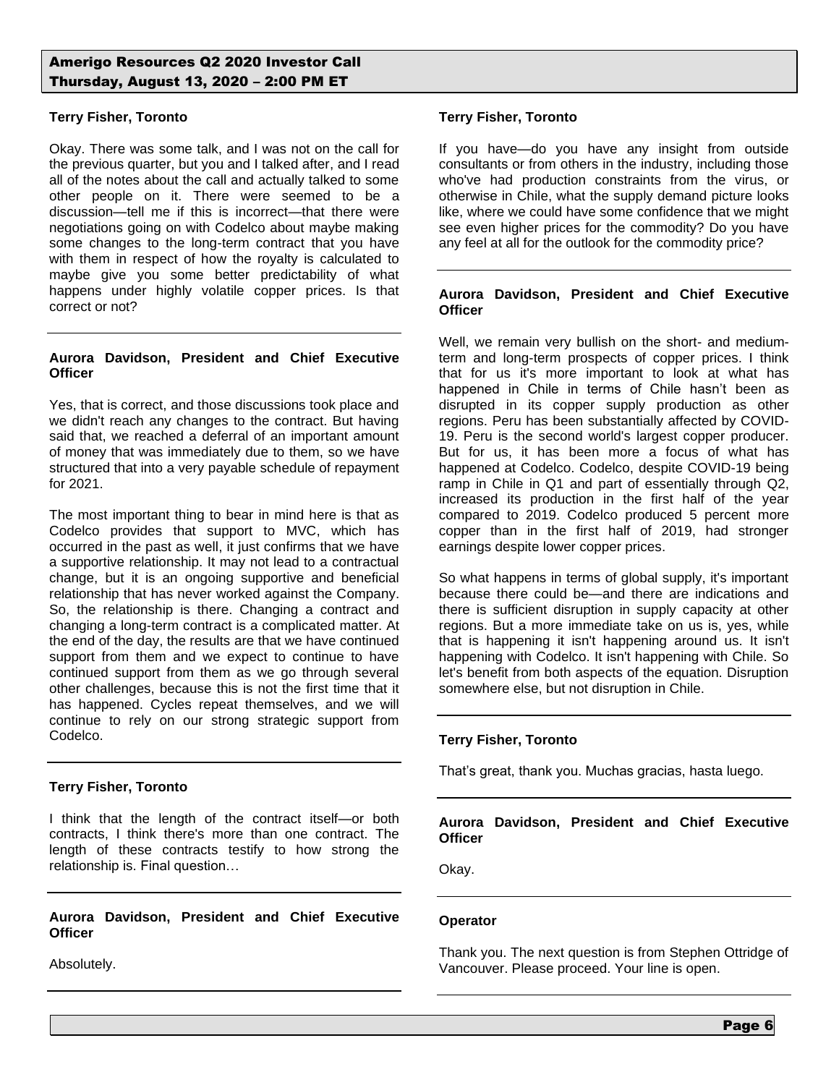## **Terry Fisher, Toronto**

Okay. There was some talk, and I was not on the call for the previous quarter, but you and I talked after, and I read all of the notes about the call and actually talked to some other people on it. There were seemed to be a discussion—tell me if this is incorrect—that there were negotiations going on with Codelco about maybe making some changes to the long-term contract that you have with them in respect of how the royalty is calculated to maybe give you some better predictability of what happens under highly volatile copper prices. Is that correct or not?

### **Aurora Davidson, President and Chief Executive Officer**

Yes, that is correct, and those discussions took place and we didn't reach any changes to the contract. But having said that, we reached a deferral of an important amount of money that was immediately due to them, so we have structured that into a very payable schedule of repayment for 2021.

The most important thing to bear in mind here is that as Codelco provides that support to MVC, which has occurred in the past as well, it just confirms that we have a supportive relationship. It may not lead to a contractual change, but it is an ongoing supportive and beneficial relationship that has never worked against the Company. So, the relationship is there. Changing a contract and changing a long-term contract is a complicated matter. At the end of the day, the results are that we have continued support from them and we expect to continue to have continued support from them as we go through several other challenges, because this is not the first time that it has happened. Cycles repeat themselves, and we will continue to rely on our strong strategic support from Codelco.

### **Terry Fisher, Toronto**

I think that the length of the contract itself—or both contracts, I think there's more than one contract. The length of these contracts testify to how strong the relationship is. Final question…

**Aurora Davidson, President and Chief Executive Officer**

Absolutely.

# **Terry Fisher, Toronto**

If you have—do you have any insight from outside consultants or from others in the industry, including those who've had production constraints from the virus, or otherwise in Chile, what the supply demand picture looks like, where we could have some confidence that we might see even higher prices for the commodity? Do you have any feel at all for the outlook for the commodity price?

### **Aurora Davidson, President and Chief Executive Officer**

Well, we remain very bullish on the short- and mediumterm and long-term prospects of copper prices. I think that for us it's more important to look at what has happened in Chile in terms of Chile hasn't been as disrupted in its copper supply production as other regions. Peru has been substantially affected by COVID-19. Peru is the second world's largest copper producer. But for us, it has been more a focus of what has happened at Codelco. Codelco, despite COVID-19 being ramp in Chile in Q1 and part of essentially through Q2, increased its production in the first half of the year compared to 2019. Codelco produced 5 percent more copper than in the first half of 2019, had stronger earnings despite lower copper prices.

So what happens in terms of global supply, it's important because there could be—and there are indications and there is sufficient disruption in supply capacity at other regions. But a more immediate take on us is, yes, while that is happening it isn't happening around us. It isn't happening with Codelco. It isn't happening with Chile. So let's benefit from both aspects of the equation. Disruption somewhere else, but not disruption in Chile.

# **Terry Fisher, Toronto**

That's great, thank you. Muchas gracias, hasta luego.

# **Aurora Davidson, President and Chief Executive Officer**

Okay.

### **Operator**

Thank you. The next question is from Stephen Ottridge of Vancouver. Please proceed. Your line is open.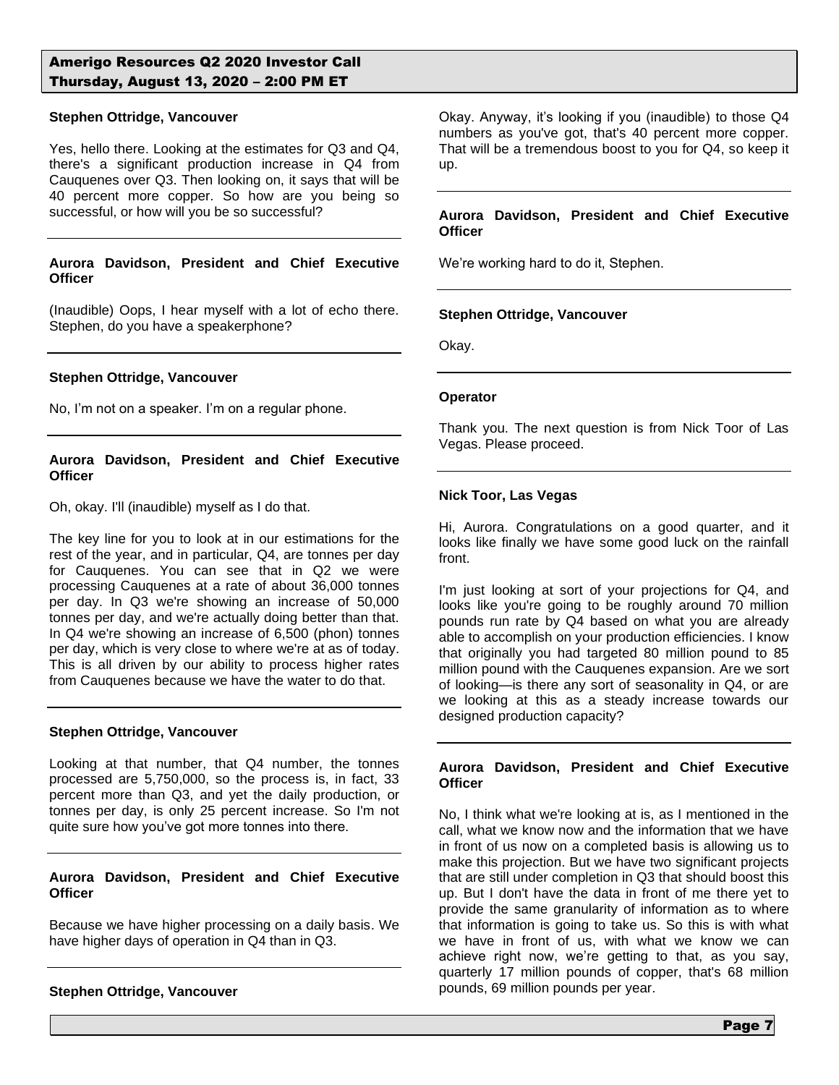#### **Stephen Ottridge, Vancouver**

Yes, hello there. Looking at the estimates for Q3 and Q4, there's a significant production increase in Q4 from Cauquenes over Q3. Then looking on, it says that will be 40 percent more copper. So how are you being so successful, or how will you be so successful?

### **Aurora Davidson, President and Chief Executive Officer**

(Inaudible) Oops, I hear myself with a lot of echo there. Stephen, do you have a speakerphone?

#### **Stephen Ottridge, Vancouver**

No, I'm not on a speaker. I'm on a regular phone.

### **Aurora Davidson, President and Chief Executive Officer**

Oh, okay. I'll (inaudible) myself as I do that.

The key line for you to look at in our estimations for the rest of the year, and in particular, Q4, are tonnes per day for Cauquenes. You can see that in Q2 we were processing Cauquenes at a rate of about 36,000 tonnes per day. In Q3 we're showing an increase of 50,000 tonnes per day, and we're actually doing better than that. In Q4 we're showing an increase of 6,500 (phon) tonnes per day, which is very close to where we're at as of today. This is all driven by our ability to process higher rates from Cauquenes because we have the water to do that.

#### **Stephen Ottridge, Vancouver**

Looking at that number, that Q4 number, the tonnes processed are 5,750,000, so the process is, in fact, 33 percent more than Q3, and yet the daily production, or tonnes per day, is only 25 percent increase. So I'm not quite sure how you've got more tonnes into there.

### **Aurora Davidson, President and Chief Executive Officer**

Because we have higher processing on a daily basis. We have higher days of operation in Q4 than in Q3.

### **Stephen Ottridge, Vancouver**

Okay. Anyway, it's looking if you (inaudible) to those Q4 numbers as you've got, that's 40 percent more copper. That will be a tremendous boost to you for Q4, so keep it up.

#### **Aurora Davidson, President and Chief Executive Officer**

We're working hard to do it, Stephen.

### **Stephen Ottridge, Vancouver**

Okay.

#### **Operator**

Thank you. The next question is from Nick Toor of Las Vegas. Please proceed.

### **Nick Toor, Las Vegas**

Hi, Aurora. Congratulations on a good quarter, and it looks like finally we have some good luck on the rainfall front.

I'm just looking at sort of your projections for Q4, and looks like you're going to be roughly around 70 million pounds run rate by Q4 based on what you are already able to accomplish on your production efficiencies. I know that originally you had targeted 80 million pound to 85 million pound with the Cauquenes expansion. Are we sort of looking—is there any sort of seasonality in Q4, or are we looking at this as a steady increase towards our designed production capacity?

#### **Aurora Davidson, President and Chief Executive Officer**

No, I think what we're looking at is, as I mentioned in the call, what we know now and the information that we have in front of us now on a completed basis is allowing us to make this projection. But we have two significant projects that are still under completion in Q3 that should boost this up. But I don't have the data in front of me there yet to provide the same granularity of information as to where that information is going to take us. So this is with what we have in front of us, with what we know we can achieve right now, we're getting to that, as you say, quarterly 17 million pounds of copper, that's 68 million pounds, 69 million pounds per year.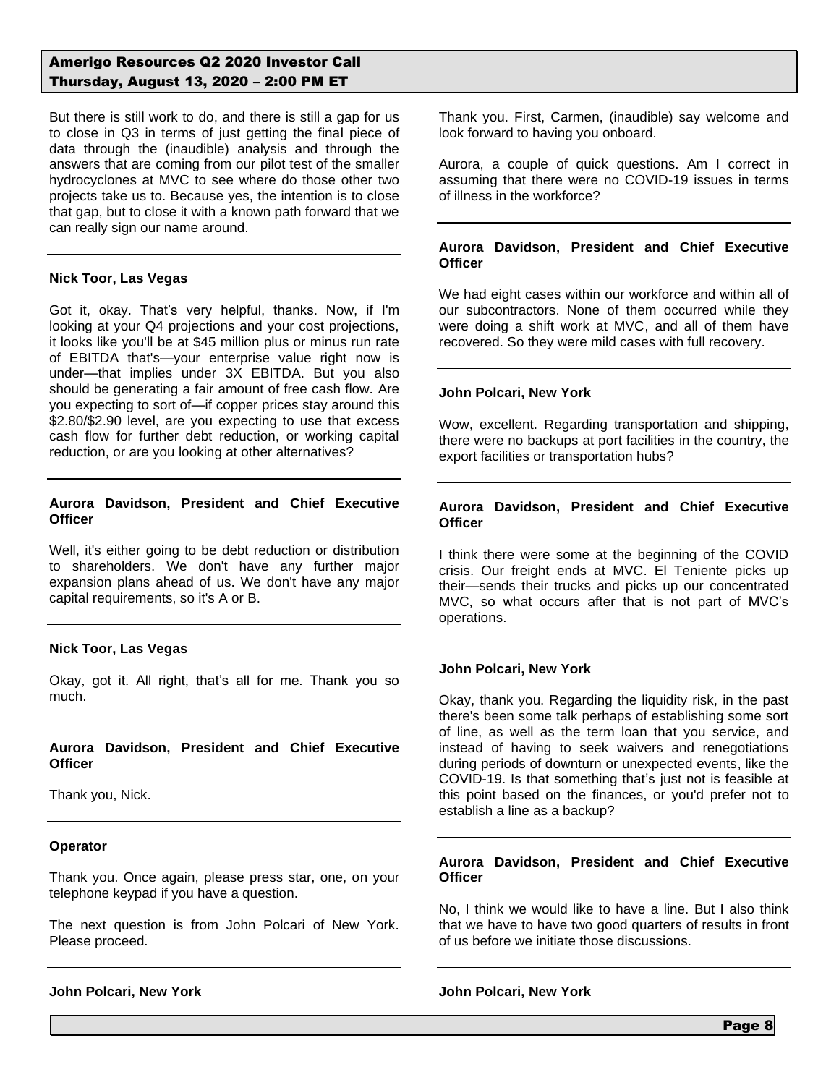But there is still work to do, and there is still a gap for us to close in Q3 in terms of just getting the final piece of data through the (inaudible) analysis and through the answers that are coming from our pilot test of the smaller hydrocyclones at MVC to see where do those other two projects take us to. Because yes, the intention is to close that gap, but to close it with a known path forward that we can really sign our name around.

### **Nick Toor, Las Vegas**

Got it, okay. That's very helpful, thanks. Now, if I'm looking at your Q4 projections and your cost projections, it looks like you'll be at \$45 million plus or minus run rate of EBITDA that's—your enterprise value right now is under—that implies under 3X EBITDA. But you also should be generating a fair amount of free cash flow. Are you expecting to sort of—if copper prices stay around this \$2.80/\$2.90 level, are you expecting to use that excess cash flow for further debt reduction, or working capital reduction, or are you looking at other alternatives?

#### **Aurora Davidson, President and Chief Executive Officer**

Well, it's either going to be debt reduction or distribution to shareholders. We don't have any further major expansion plans ahead of us. We don't have any major capital requirements, so it's A or B.

### **Nick Toor, Las Vegas**

Okay, got it. All right, that's all for me. Thank you so much.

## **Aurora Davidson, President and Chief Executive Officer**

Thank you, Nick.

### **Operator**

Thank you. Once again, please press star, one, on your telephone keypad if you have a question.

The next question is from John Polcari of New York. Please proceed.

**John Polcari, New York**

Thank you. First, Carmen, (inaudible) say welcome and look forward to having you onboard.

Aurora, a couple of quick questions. Am I correct in assuming that there were no COVID-19 issues in terms of illness in the workforce?

### **Aurora Davidson, President and Chief Executive Officer**

We had eight cases within our workforce and within all of our subcontractors. None of them occurred while they were doing a shift work at MVC, and all of them have recovered. So they were mild cases with full recovery.

### **John Polcari, New York**

Wow, excellent. Regarding transportation and shipping, there were no backups at port facilities in the country, the export facilities or transportation hubs?

### **Aurora Davidson, President and Chief Executive Officer**

I think there were some at the beginning of the COVID crisis. Our freight ends at MVC. El Teniente picks up their—sends their trucks and picks up our concentrated MVC, so what occurs after that is not part of MVC's operations.

### **John Polcari, New York**

Okay, thank you. Regarding the liquidity risk, in the past there's been some talk perhaps of establishing some sort of line, as well as the term loan that you service, and instead of having to seek waivers and renegotiations during periods of downturn or unexpected events, like the COVID-19. Is that something that's just not is feasible at this point based on the finances, or you'd prefer not to establish a line as a backup?

### **Aurora Davidson, President and Chief Executive Officer**

No, I think we would like to have a line. But I also think that we have to have two good quarters of results in front of us before we initiate those discussions.

### **John Polcari, New York**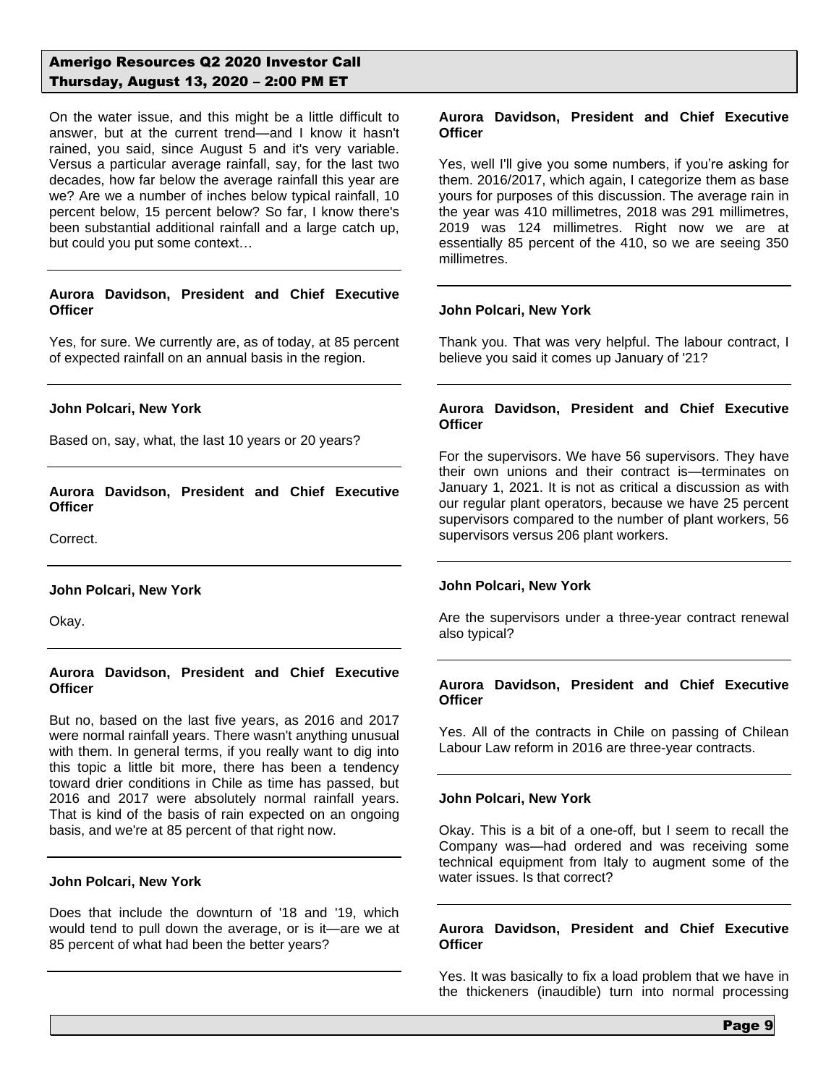On the water issue, and this might be a little difficult to answer, but at the current trend—and I know it hasn't rained, you said, since August 5 and it's very variable. Versus a particular average rainfall, say, for the last two decades, how far below the average rainfall this year are we? Are we a number of inches below typical rainfall, 10 percent below, 15 percent below? So far, I know there's been substantial additional rainfall and a large catch up, but could you put some context…

# **Aurora Davidson, President and Chief Executive Officer**

Yes, for sure. We currently are, as of today, at 85 percent of expected rainfall on an annual basis in the region.

### **John Polcari, New York**

Based on, say, what, the last 10 years or 20 years?

**Aurora Davidson, President and Chief Executive Officer**

Correct.

**John Polcari, New York**

Okay.

## **Aurora Davidson, President and Chief Executive Officer**

But no, based on the last five years, as 2016 and 2017 were normal rainfall years. There wasn't anything unusual with them. In general terms, if you really want to dig into this topic a little bit more, there has been a tendency toward drier conditions in Chile as time has passed, but 2016 and 2017 were absolutely normal rainfall years. That is kind of the basis of rain expected on an ongoing basis, and we're at 85 percent of that right now.

### **John Polcari, New York**

Does that include the downturn of '18 and '19, which would tend to pull down the average, or is it—are we at 85 percent of what had been the better years?

### **Aurora Davidson, President and Chief Executive Officer**

Yes, well I'll give you some numbers, if you're asking for them. 2016/2017, which again, I categorize them as base yours for purposes of this discussion. The average rain in the year was 410 millimetres, 2018 was 291 millimetres, 2019 was 124 millimetres. Right now we are at essentially 85 percent of the 410, so we are seeing 350 millimetres.

#### **John Polcari, New York**

Thank you. That was very helpful. The labour contract, I believe you said it comes up January of '21?

### **Aurora Davidson, President and Chief Executive Officer**

For the supervisors. We have 56 supervisors. They have their own unions and their contract is—terminates on January 1, 2021. It is not as critical a discussion as with our regular plant operators, because we have 25 percent supervisors compared to the number of plant workers, 56 supervisors versus 206 plant workers.

### **John Polcari, New York**

Are the supervisors under a three-year contract renewal also typical?

### **Aurora Davidson, President and Chief Executive Officer**

Yes. All of the contracts in Chile on passing of Chilean Labour Law reform in 2016 are three-year contracts.

### **John Polcari, New York**

Okay. This is a bit of a one-off, but I seem to recall the Company was—had ordered and was receiving some technical equipment from Italy to augment some of the water issues. Is that correct?

#### **Aurora Davidson, President and Chief Executive Officer**

Yes. It was basically to fix a load problem that we have in the thickeners (inaudible) turn into normal processing